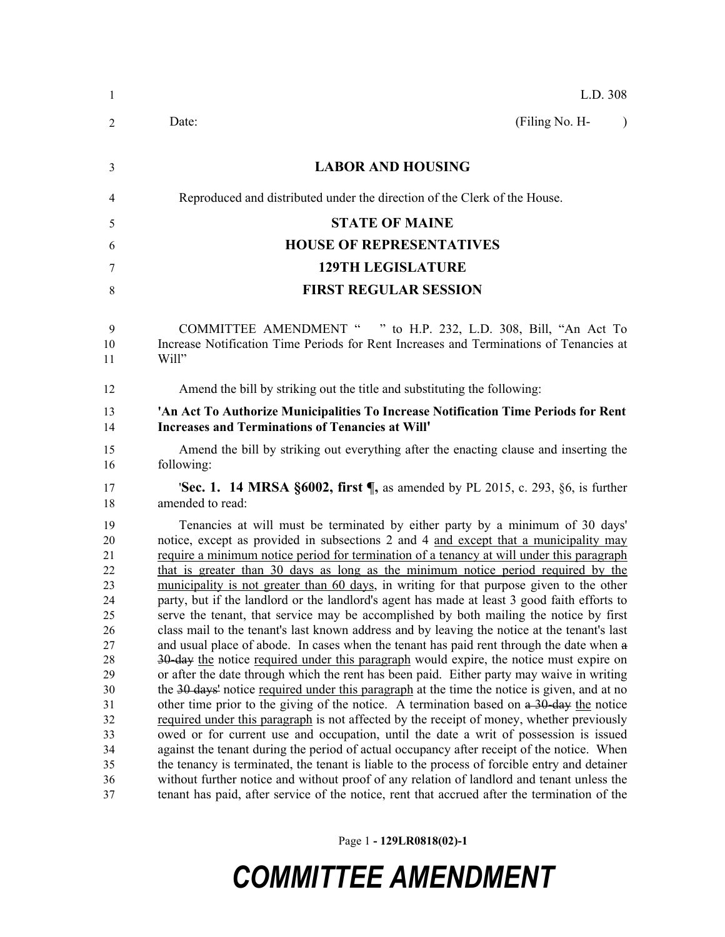| -1                                                                                                             | L.D. 308                                                                                                                                                                                                                                                                                                                                                                                                                                                                                                                                                                                                                                                                                                                                                                                                                                                                                                                                                                                                                                                                                                                                                                                                                                                                                                                                                                                                                                                                                                                                                                                                                                                                                                                                                                                                         |
|----------------------------------------------------------------------------------------------------------------|------------------------------------------------------------------------------------------------------------------------------------------------------------------------------------------------------------------------------------------------------------------------------------------------------------------------------------------------------------------------------------------------------------------------------------------------------------------------------------------------------------------------------------------------------------------------------------------------------------------------------------------------------------------------------------------------------------------------------------------------------------------------------------------------------------------------------------------------------------------------------------------------------------------------------------------------------------------------------------------------------------------------------------------------------------------------------------------------------------------------------------------------------------------------------------------------------------------------------------------------------------------------------------------------------------------------------------------------------------------------------------------------------------------------------------------------------------------------------------------------------------------------------------------------------------------------------------------------------------------------------------------------------------------------------------------------------------------------------------------------------------------------------------------------------------------|
| 2                                                                                                              | (Filing No. H-<br>Date:<br>$\lambda$                                                                                                                                                                                                                                                                                                                                                                                                                                                                                                                                                                                                                                                                                                                                                                                                                                                                                                                                                                                                                                                                                                                                                                                                                                                                                                                                                                                                                                                                                                                                                                                                                                                                                                                                                                             |
| 3                                                                                                              | <b>LABOR AND HOUSING</b>                                                                                                                                                                                                                                                                                                                                                                                                                                                                                                                                                                                                                                                                                                                                                                                                                                                                                                                                                                                                                                                                                                                                                                                                                                                                                                                                                                                                                                                                                                                                                                                                                                                                                                                                                                                         |
| 4                                                                                                              | Reproduced and distributed under the direction of the Clerk of the House.                                                                                                                                                                                                                                                                                                                                                                                                                                                                                                                                                                                                                                                                                                                                                                                                                                                                                                                                                                                                                                                                                                                                                                                                                                                                                                                                                                                                                                                                                                                                                                                                                                                                                                                                        |
| 5                                                                                                              | <b>STATE OF MAINE</b>                                                                                                                                                                                                                                                                                                                                                                                                                                                                                                                                                                                                                                                                                                                                                                                                                                                                                                                                                                                                                                                                                                                                                                                                                                                                                                                                                                                                                                                                                                                                                                                                                                                                                                                                                                                            |
| 6                                                                                                              | <b>HOUSE OF REPRESENTATIVES</b>                                                                                                                                                                                                                                                                                                                                                                                                                                                                                                                                                                                                                                                                                                                                                                                                                                                                                                                                                                                                                                                                                                                                                                                                                                                                                                                                                                                                                                                                                                                                                                                                                                                                                                                                                                                  |
| 7                                                                                                              | <b>129TH LEGISLATURE</b>                                                                                                                                                                                                                                                                                                                                                                                                                                                                                                                                                                                                                                                                                                                                                                                                                                                                                                                                                                                                                                                                                                                                                                                                                                                                                                                                                                                                                                                                                                                                                                                                                                                                                                                                                                                         |
| 8                                                                                                              | <b>FIRST REGULAR SESSION</b>                                                                                                                                                                                                                                                                                                                                                                                                                                                                                                                                                                                                                                                                                                                                                                                                                                                                                                                                                                                                                                                                                                                                                                                                                                                                                                                                                                                                                                                                                                                                                                                                                                                                                                                                                                                     |
| 9<br>10<br>11                                                                                                  | COMMITTEE AMENDMENT " " to H.P. 232, L.D. 308, Bill, "An Act To<br>Increase Notification Time Periods for Rent Increases and Terminations of Tenancies at<br>Will"                                                                                                                                                                                                                                                                                                                                                                                                                                                                                                                                                                                                                                                                                                                                                                                                                                                                                                                                                                                                                                                                                                                                                                                                                                                                                                                                                                                                                                                                                                                                                                                                                                               |
| 12                                                                                                             | Amend the bill by striking out the title and substituting the following:                                                                                                                                                                                                                                                                                                                                                                                                                                                                                                                                                                                                                                                                                                                                                                                                                                                                                                                                                                                                                                                                                                                                                                                                                                                                                                                                                                                                                                                                                                                                                                                                                                                                                                                                         |
| 13<br>14                                                                                                       | 'An Act To Authorize Municipalities To Increase Notification Time Periods for Rent<br><b>Increases and Terminations of Tenancies at Will'</b>                                                                                                                                                                                                                                                                                                                                                                                                                                                                                                                                                                                                                                                                                                                                                                                                                                                                                                                                                                                                                                                                                                                                                                                                                                                                                                                                                                                                                                                                                                                                                                                                                                                                    |
| 15<br>16                                                                                                       | Amend the bill by striking out everything after the enacting clause and inserting the<br>following:                                                                                                                                                                                                                                                                                                                                                                                                                                                                                                                                                                                                                                                                                                                                                                                                                                                                                                                                                                                                                                                                                                                                                                                                                                                                                                                                                                                                                                                                                                                                                                                                                                                                                                              |
| 17<br>18                                                                                                       | <b>'Sec. 1. 14 MRSA §6002, first <math>\P</math></b> , as amended by PL 2015, c. 293, §6, is further<br>amended to read:                                                                                                                                                                                                                                                                                                                                                                                                                                                                                                                                                                                                                                                                                                                                                                                                                                                                                                                                                                                                                                                                                                                                                                                                                                                                                                                                                                                                                                                                                                                                                                                                                                                                                         |
| 19<br>20<br>21<br>22<br>23<br>24<br>25<br>26<br>27<br>28<br>29<br>30<br>31<br>32<br>33<br>34<br>35<br>36<br>37 | Tenancies at will must be terminated by either party by a minimum of 30 days'<br>notice, except as provided in subsections 2 and 4 and except that a municipality may<br>require a minimum notice period for termination of a tenancy at will under this paragraph<br>that is greater than 30 days as long as the minimum notice period required by the<br>municipality is not greater than 60 days, in writing for that purpose given to the other<br>party, but if the landlord or the landlord's agent has made at least 3 good faith efforts to<br>serve the tenant, that service may be accomplished by both mailing the notice by first<br>class mail to the tenant's last known address and by leaving the notice at the tenant's last<br>and usual place of abode. In cases when the tenant has paid rent through the date when a<br>30-day the notice required under this paragraph would expire, the notice must expire on<br>or after the date through which the rent has been paid. Either party may waive in writing<br>the 30 days' notice required under this paragraph at the time the notice is given, and at no<br>other time prior to the giving of the notice. A termination based on a 30-day the notice<br>required under this paragraph is not affected by the receipt of money, whether previously<br>owed or for current use and occupation, until the date a writ of possession is issued<br>against the tenant during the period of actual occupancy after receipt of the notice. When<br>the tenancy is terminated, the tenant is liable to the process of forcible entry and detainer<br>without further notice and without proof of any relation of landlord and tenant unless the<br>tenant has paid, after service of the notice, rent that accrued after the termination of the |

Page 1 **- 129LR0818(02)-1**

## *COMMITTEE AMENDMENT*